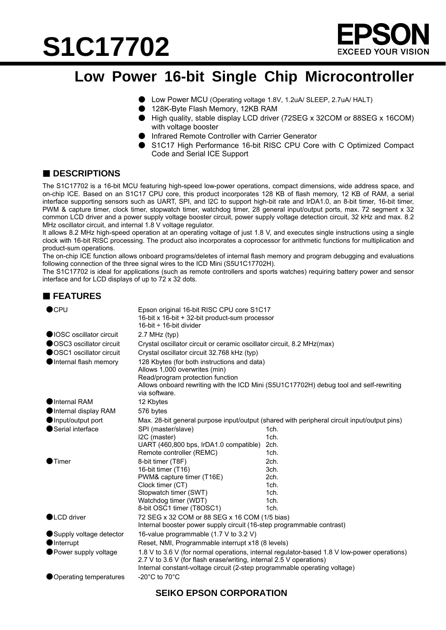# **S1C17702**



### **Low Power 16-bit Single Chip Microcontroller**

- Low Power MCU (Operating voltage 1.8V, 1.2uA/ SLEEP, 2.7uA/ HALT)
- 128K-Byte Flash Memory, 12KB RAM
- High quality, stable display LCD driver (72SEG x 32COM or 88SEG x 16COM) with voltage booster
- Infrared Remote Controller with Carrier Generator
- S1C17 High Performance 16-bit RISC CPU Core with C Optimized Compact Code and Serial ICE Support

#### ■ **DESCRIPTIONS**

The S1C17702 is a 16-bit MCU featuring high-speed low-power operations, compact dimensions, wide address space, and on-chip ICE. Based on an S1C17 CPU core, this product incorporates 128 KB of flash memory, 12 KB of RAM, a serial interface supporting sensors such as UART, SPI, and I2C to support high-bit rate and IrDA1.0, an 8-bit timer, 16-bit timer, PWM & capture timer, clock timer, stopwatch timer, watchdog timer, 28 general input/output ports, max. 72 segment x 32 common LCD driver and a power supply voltage booster circuit, power supply voltage detection circuit, 32 kHz and max. 8.2 MHz oscillator circuit, and internal 1.8 V voltage regulator.

It allows 8.2 MHz high-speed operation at an operating voltage of just 1.8 V, and executes single instructions using a single clock with 16-bit RISC processing. The product also incorporates a coprocessor for arithmetic functions for multiplication and product-sum operations.

The on-chip ICE function allows onboard programs/deletes of internal flash memory and program debugging and evaluations following connection of the three signal wires to the ICD Mini (S5U1C17702H).

The S1C17702 is ideal for applications (such as remote controllers and sports watches) requiring battery power and sensor interface and for LCD displays of up to 72 x 32 dots.

#### **FEATURES**

| $\bullet$ CPU             | Epson original 16-bit RISC CPU core S1C17<br>16-bit x 16-bit + 32-bit product-sum processor<br>16-bit $\div$ 16-bit divider                                                                                                                     |                              |  |
|---------------------------|-------------------------------------------------------------------------------------------------------------------------------------------------------------------------------------------------------------------------------------------------|------------------------------|--|
| ●IOSC oscillator circuit  | $2.7$ MHz (typ)                                                                                                                                                                                                                                 |                              |  |
| ● OSC3 oscillator circuit | Crystal oscillator circuit or ceramic oscillator circuit, 8.2 MHz(max)                                                                                                                                                                          |                              |  |
| ● OSC1 oscillator circuit | Crystal oscillator circuit 32.768 kHz (typ)                                                                                                                                                                                                     |                              |  |
| Internal flash memory     | 128 Kbytes (for both instructions and data)<br>Allows 1,000 overwrites (min)<br>Read/program protection function<br>Allows onboard rewriting with the ICD Mini (S5U1C17702H) debug tool and self-rewriting<br>via software.                     |                              |  |
| Internal RAM              | 12 Kbytes                                                                                                                                                                                                                                       |                              |  |
| Internal display RAM      | 576 bytes                                                                                                                                                                                                                                       |                              |  |
| Input/output port         | Max. 28-bit general purpose input/output (shared with peripheral circuit input/output pins)                                                                                                                                                     |                              |  |
| Serial interface          | SPI (master/slave)<br>I2C (master)<br>UART (460,800 bps, IrDA1.0 compatible)<br>Remote controller (REMC)                                                                                                                                        | 1ch.<br>1ch.<br>2ch.<br>1ch. |  |
| $\bullet$ Timer           | 8-bit timer (T8F)                                                                                                                                                                                                                               | 2ch.                         |  |
|                           | 16-bit timer (T16)                                                                                                                                                                                                                              | 3ch.                         |  |
|                           | PWM& capture timer (T16E)                                                                                                                                                                                                                       | 2ch.                         |  |
|                           | Clock timer (CT)                                                                                                                                                                                                                                | 1ch.                         |  |
|                           | Stopwatch timer (SWT)                                                                                                                                                                                                                           | 1ch.                         |  |
|                           | Watchdog timer (WDT)<br>8-bit OSC1 timer (T8OSC1)                                                                                                                                                                                               | 1ch.<br>1ch.                 |  |
| <b>OLCD</b> driver        | 72 SEG x 32 COM or 88 SEG x 16 COM (1/5 bias)<br>Internal booster power supply circuit (16-step programmable contrast)                                                                                                                          |                              |  |
| Supply voltage detector   | 16-value programmable (1.7 V to 3.2 V)                                                                                                                                                                                                          |                              |  |
| <b>O</b> Interrupt        | Reset, NMI, Programmable interrupt x18 (8 levels)                                                                                                                                                                                               |                              |  |
| ● Power supply voltage    | 1.8 V to 3.6 V (for normal operations, internal regulator-based 1.8 V low-power operations)<br>2.7 V to 3.6 V (for flash erase/writing, internal 2.5 V operations)<br>Internal constant-voltage circuit (2-step programmable operating voltage) |                              |  |
| ● Operating temperatures  | -20 $^{\circ}$ C to 70 $^{\circ}$ C                                                                                                                                                                                                             |                              |  |

#### **SEIKO EPSON CORPORATION**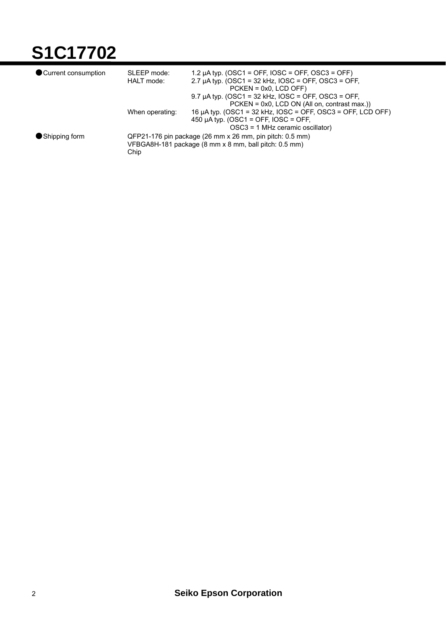## **S1C17702**

| Current consumption | SLEEP mode:                                              | 1.2 µA typ. (OSC1 = OFF, IOSC = OFF, OSC3 = OFF)            |  |
|---------------------|----------------------------------------------------------|-------------------------------------------------------------|--|
|                     | HALT mode:                                               | 2.7 $\mu$ A typ. (OSC1 = 32 kHz, IOSC = OFF, OSC3 = OFF,    |  |
|                     |                                                          | $PCKEN = 0x0$ , $LCD OFF)$                                  |  |
|                     |                                                          | 9.7 µA typ. (OSC1 = 32 kHz, $IOSC = OFF$ , OSC3 = OFF,      |  |
|                     |                                                          | $PCKEN = 0x0$ , LCD ON (All on, contrast max.))             |  |
|                     | When operating:                                          | 16 μA typ. (OSC1 = 32 kHz, IOSC = OFF, OSC3 = OFF, LCD OFF) |  |
|                     |                                                          | 450 µA typ. (OSC1 = OFF, IOSC = OFF,                        |  |
|                     |                                                          | OSC3 = 1 MHz ceramic oscillator)                            |  |
| Shipping form       | QFP21-176 pin package (26 mm x 26 mm, pin pitch: 0.5 mm) |                                                             |  |
|                     | VFBGA8H-181 package (8 mm x 8 mm, ball pitch: 0.5 mm)    |                                                             |  |
|                     | Chip                                                     |                                                             |  |